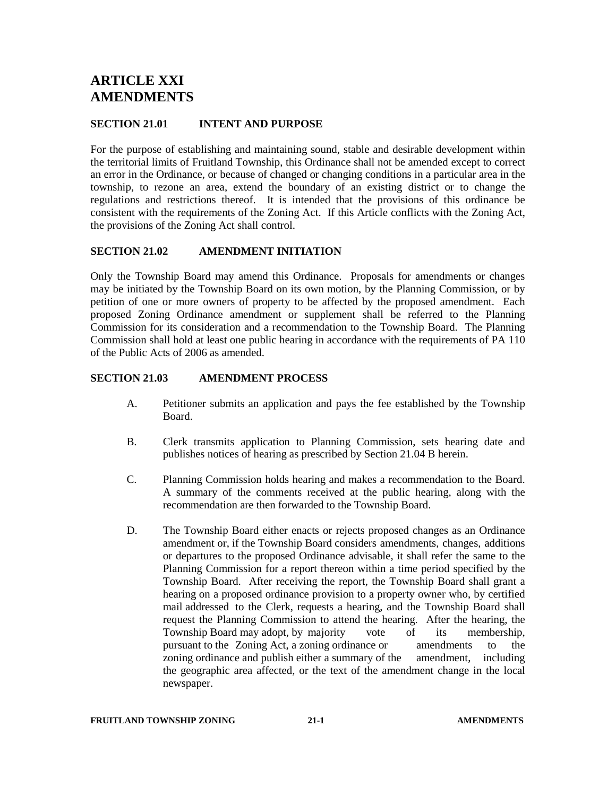# **ARTICLE XXI AMENDMENTS**

## **SECTION 21.01 INTENT AND PURPOSE**

For the purpose of establishing and maintaining sound, stable and desirable development within the territorial limits of Fruitland Township, this Ordinance shall not be amended except to correct an error in the Ordinance, or because of changed or changing conditions in a particular area in the township, to rezone an area, extend the boundary of an existing district or to change the regulations and restrictions thereof. It is intended that the provisions of this ordinance be consistent with the requirements of the Zoning Act. If this Article conflicts with the Zoning Act, the provisions of the Zoning Act shall control.

## **SECTION 21.02 AMENDMENT INITIATION**

Only the Township Board may amend this Ordinance. Proposals for amendments or changes may be initiated by the Township Board on its own motion, by the Planning Commission, or by petition of one or more owners of property to be affected by the proposed amendment. Each proposed Zoning Ordinance amendment or supplement shall be referred to the Planning Commission for its consideration and a recommendation to the Township Board. The Planning Commission shall hold at least one public hearing in accordance with the requirements of PA 110 of the Public Acts of 2006 as amended.

# **SECTION 21.03 AMENDMENT PROCESS**

- A. Petitioner submits an application and pays the fee established by the Township Board.
- B. Clerk transmits application to Planning Commission, sets hearing date and publishes notices of hearing as prescribed by Section 21.04 B herein.
- C. Planning Commission holds hearing and makes a recommendation to the Board. A summary of the comments received at the public hearing, along with the recommendation are then forwarded to the Township Board.
- D. The Township Board either enacts or rejects proposed changes as an Ordinance amendment or, if the Township Board considers amendments, changes, additions or departures to the proposed Ordinance advisable, it shall refer the same to the Planning Commission for a report thereon within a time period specified by the Township Board. After receiving the report, the Township Board shall grant a hearing on a proposed ordinance provision to a property owner who, by certified mail addressed to the Clerk, requests a hearing, and the Township Board shall request the Planning Commission to attend the hearing. After the hearing, the Township Board may adopt, by majority vote of its membership, pursuant to the Zoning Act, a zoning ordinance or amendments to the zoning ordinance and publish either a summary of the amendment, including the geographic area affected, or the text of the amendment change in the local newspaper.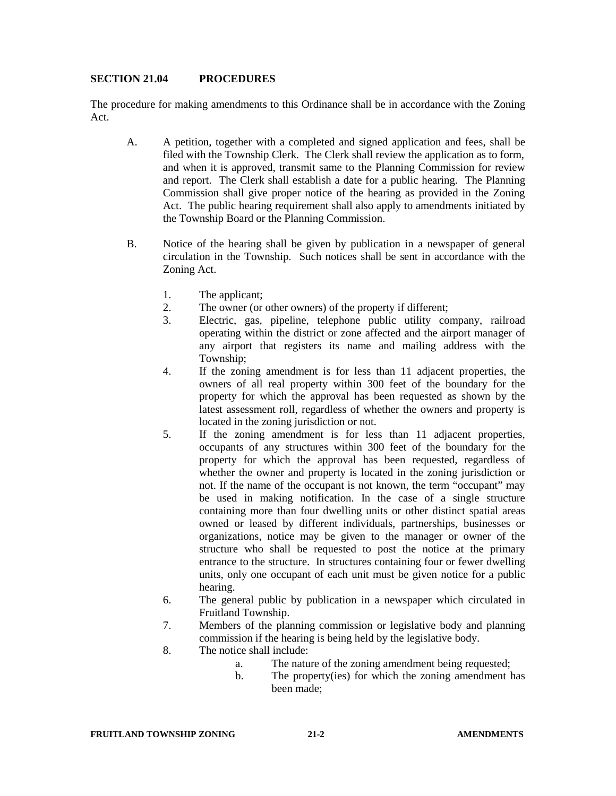#### **SECTION 21.04 PROCEDURES**

The procedure for making amendments to this Ordinance shall be in accordance with the Zoning Act.

- A. A petition, together with a completed and signed application and fees, shall be filed with the Township Clerk. The Clerk shall review the application as to form, and when it is approved, transmit same to the Planning Commission for review and report. The Clerk shall establish a date for a public hearing. The Planning Commission shall give proper notice of the hearing as provided in the Zoning Act. The public hearing requirement shall also apply to amendments initiated by the Township Board or the Planning Commission.
- B. Notice of the hearing shall be given by publication in a newspaper of general circulation in the Township. Such notices shall be sent in accordance with the Zoning Act.
	- 1. The applicant;
	- 2. The owner (or other owners) of the property if different;
	- 3. Electric, gas, pipeline, telephone public utility company, railroad operating within the district or zone affected and the airport manager of any airport that registers its name and mailing address with the Township;
	- 4. If the zoning amendment is for less than 11 adjacent properties, the owners of all real property within 300 feet of the boundary for the property for which the approval has been requested as shown by the latest assessment roll, regardless of whether the owners and property is located in the zoning jurisdiction or not.
	- 5. If the zoning amendment is for less than 11 adjacent properties, occupants of any structures within 300 feet of the boundary for the property for which the approval has been requested, regardless of whether the owner and property is located in the zoning jurisdiction or not. If the name of the occupant is not known, the term "occupant" may be used in making notification. In the case of a single structure containing more than four dwelling units or other distinct spatial areas owned or leased by different individuals, partnerships, businesses or organizations, notice may be given to the manager or owner of the structure who shall be requested to post the notice at the primary entrance to the structure. In structures containing four or fewer dwelling units, only one occupant of each unit must be given notice for a public hearing.
	- 6. The general public by publication in a newspaper which circulated in Fruitland Township.
	- 7. Members of the planning commission or legislative body and planning commission if the hearing is being held by the legislative body.
	- 8. The notice shall include:
		- a. The nature of the zoning amendment being requested;
		- b. The property(ies) for which the zoning amendment has been made;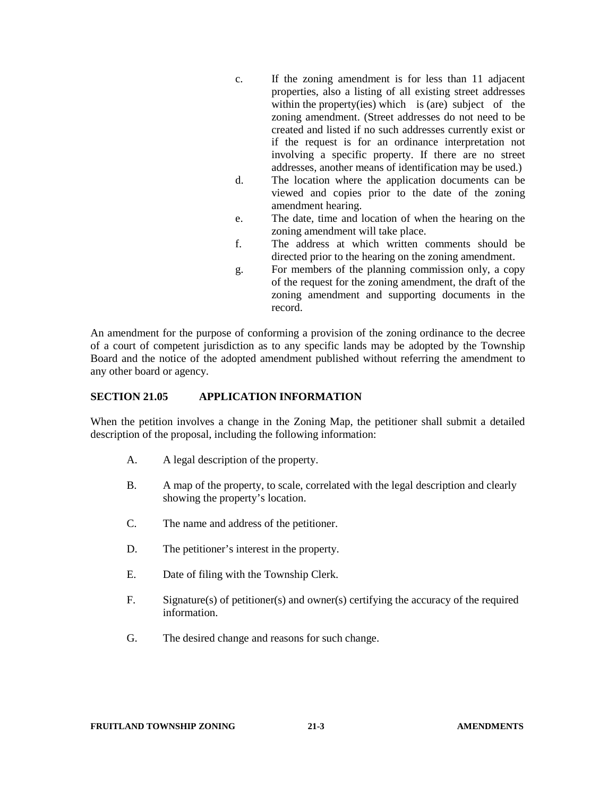- c. If the zoning amendment is for less than 11 adjacent properties, also a listing of all existing street addresses within the property(ies) which is (are) subject of the zoning amendment. (Street addresses do not need to be created and listed if no such addresses currently exist or if the request is for an ordinance interpretation not involving a specific property. If there are no street addresses, another means of identification may be used.)
- d. The location where the application documents can be viewed and copies prior to the date of the zoning amendment hearing.
- e. The date, time and location of when the hearing on the zoning amendment will take place.
- f. The address at which written comments should be directed prior to the hearing on the zoning amendment.
- g. For members of the planning commission only, a copy of the request for the zoning amendment, the draft of the zoning amendment and supporting documents in the record.

An amendment for the purpose of conforming a provision of the zoning ordinance to the decree of a court of competent jurisdiction as to any specific lands may be adopted by the Township Board and the notice of the adopted amendment published without referring the amendment to any other board or agency.

## **SECTION 21.05 APPLICATION INFORMATION**

When the petition involves a change in the Zoning Map, the petitioner shall submit a detailed description of the proposal, including the following information:

- A. A legal description of the property.
- B. A map of the property, to scale, correlated with the legal description and clearly showing the property's location.
- C. The name and address of the petitioner.
- D. The petitioner's interest in the property.
- E. Date of filing with the Township Clerk.
- F. Signature(s) of petitioner(s) and owner(s) certifying the accuracy of the required information.
- G. The desired change and reasons for such change.